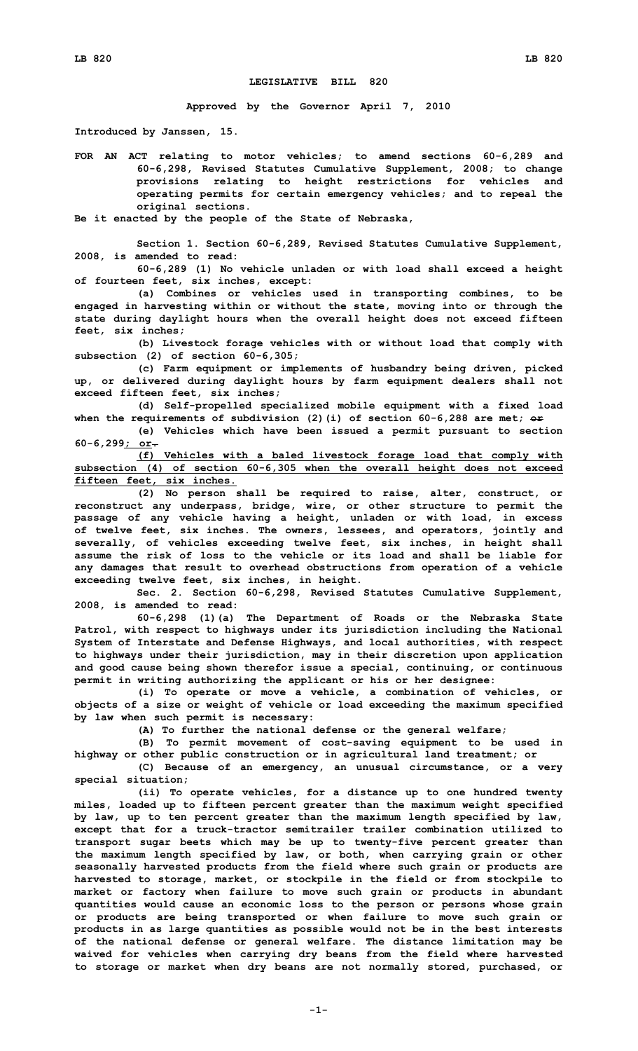## **LEGISLATIVE BILL 820**

**Approved by the Governor April 7, 2010**

**Introduced by Janssen, 15.**

**FOR AN ACT relating to motor vehicles; to amend sections 60-6,289 and 60-6,298, Revised Statutes Cumulative Supplement, 2008; to change provisions relating to height restrictions for vehicles and operating permits for certain emergency vehicles; and to repeal the original sections.**

**Be it enacted by the people of the State of Nebraska,**

**Section 1. Section 60-6,289, Revised Statutes Cumulative Supplement, 2008, is amended to read:**

**60-6,289 (1) No vehicle unladen or with load shall exceed <sup>a</sup> height of fourteen feet, six inches, except:**

**(a) Combines or vehicles used in transporting combines, to be engaged in harvesting within or without the state, moving into or through the state during daylight hours when the overall height does not exceed fifteen feet, six inches;**

**(b) Livestock forage vehicles with or without load that comply with subsection (2) of section 60-6,305;**

**(c) Farm equipment or implements of husbandry being driven, picked up, or delivered during daylight hours by farm equipment dealers shall not exceed fifteen feet, six inches;**

**(d) Self-propelled specialized mobile equipment with <sup>a</sup> fixed load when the requirements of subdivision (2)(i) of section 60-6,288 are met; or**

**(e) Vehicles which have been issued <sup>a</sup> permit pursuant to section 60-6,299; or.**

**(f) Vehicles with <sup>a</sup> baled livestock forage load that comply with subsection (4) of section 60-6,305 when the overall height does not exceed fifteen feet, six inches.**

**(2) No person shall be required to raise, alter, construct, or reconstruct any underpass, bridge, wire, or other structure to permit the passage of any vehicle having <sup>a</sup> height, unladen or with load, in excess of twelve feet, six inches. The owners, lessees, and operators, jointly and severally, of vehicles exceeding twelve feet, six inches, in height shall assume the risk of loss to the vehicle or its load and shall be liable for any damages that result to overhead obstructions from operation of <sup>a</sup> vehicle exceeding twelve feet, six inches, in height.**

**Sec. 2. Section 60-6,298, Revised Statutes Cumulative Supplement, 2008, is amended to read:**

**60-6,298 (1)(a) The Department of Roads or the Nebraska State Patrol, with respect to highways under its jurisdiction including the National System of Interstate and Defense Highways, and local authorities, with respect to highways under their jurisdiction, may in their discretion upon application and good cause being shown therefor issue <sup>a</sup> special, continuing, or continuous permit in writing authorizing the applicant or his or her designee:**

**(i) To operate or move <sup>a</sup> vehicle, <sup>a</sup> combination of vehicles, or objects of <sup>a</sup> size or weight of vehicle or load exceeding the maximum specified by law when such permit is necessary:**

**(A) To further the national defense or the general welfare;**

**(B) To permit movement of cost-saving equipment to be used in highway or other public construction or in agricultural land treatment; or**

**(C) Because of an emergency, an unusual circumstance, or <sup>a</sup> very special situation;**

**(ii) To operate vehicles, for <sup>a</sup> distance up to one hundred twenty miles, loaded up to fifteen percent greater than the maximum weight specified by law, up to ten percent greater than the maximum length specified by law, except that for <sup>a</sup> truck-tractor semitrailer trailer combination utilized to transport sugar beets which may be up to twenty-five percent greater than the maximum length specified by law, or both, when carrying grain or other seasonally harvested products from the field where such grain or products are harvested to storage, market, or stockpile in the field or from stockpile to market or factory when failure to move such grain or products in abundant quantities would cause an economic loss to the person or persons whose grain or products are being transported or when failure to move such grain or products in as large quantities as possible would not be in the best interests of the national defense or general welfare. The distance limitation may be waived for vehicles when carrying dry beans from the field where harvested to storage or market when dry beans are not normally stored, purchased, or**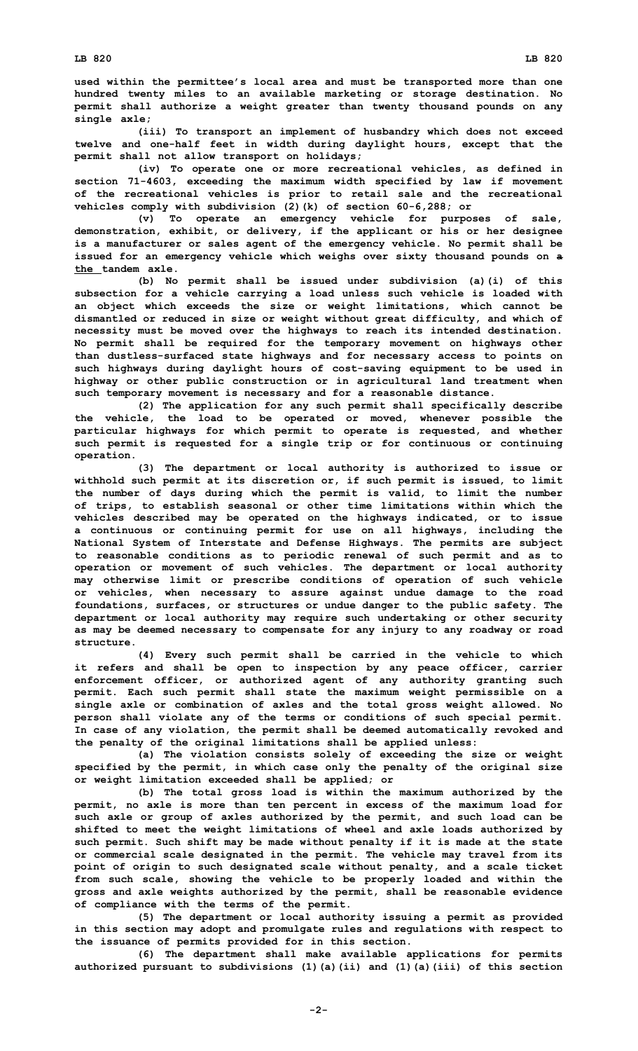**used within the permittee's local area and must be transported more than one hundred twenty miles to an available marketing or storage destination. No permit shall authorize <sup>a</sup> weight greater than twenty thousand pounds on any single axle;**

**(iii) To transport an implement of husbandry which does not exceed twelve and one-half feet in width during daylight hours, except that the permit shall not allow transport on holidays;**

**(iv) To operate one or more recreational vehicles, as defined in section 71-4603, exceeding the maximum width specified by law if movement of the recreational vehicles is prior to retail sale and the recreational vehicles comply with subdivision (2)(k) of section 60-6,288; or**

**(v) To operate an emergency vehicle for purposes of sale, demonstration, exhibit, or delivery, if the applicant or his or her designee is <sup>a</sup> manufacturer or sales agent of the emergency vehicle. No permit shall be issued for an emergency vehicle which weighs over sixty thousand pounds on <sup>a</sup> the tandem axle.**

**(b) No permit shall be issued under subdivision (a)(i) of this subsection for <sup>a</sup> vehicle carrying <sup>a</sup> load unless such vehicle is loaded with an object which exceeds the size or weight limitations, which cannot be dismantled or reduced in size or weight without great difficulty, and which of necessity must be moved over the highways to reach its intended destination. No permit shall be required for the temporary movement on highways other than dustless-surfaced state highways and for necessary access to points on such highways during daylight hours of cost-saving equipment to be used in highway or other public construction or in agricultural land treatment when such temporary movement is necessary and for <sup>a</sup> reasonable distance.**

**(2) The application for any such permit shall specifically describe the vehicle, the load to be operated or moved, whenever possible the particular highways for which permit to operate is requested, and whether such permit is requested for <sup>a</sup> single trip or for continuous or continuing operation.**

**(3) The department or local authority is authorized to issue or withhold such permit at its discretion or, if such permit is issued, to limit the number of days during which the permit is valid, to limit the number of trips, to establish seasonal or other time limitations within which the vehicles described may be operated on the highways indicated, or to issue <sup>a</sup> continuous or continuing permit for use on all highways, including the National System of Interstate and Defense Highways. The permits are subject to reasonable conditions as to periodic renewal of such permit and as to operation or movement of such vehicles. The department or local authority may otherwise limit or prescribe conditions of operation of such vehicle or vehicles, when necessary to assure against undue damage to the road foundations, surfaces, or structures or undue danger to the public safety. The department or local authority may require such undertaking or other security as may be deemed necessary to compensate for any injury to any roadway or road structure.**

**(4) Every such permit shall be carried in the vehicle to which it refers and shall be open to inspection by any peace officer, carrier enforcement officer, or authorized agent of any authority granting such permit. Each such permit shall state the maximum weight permissible on <sup>a</sup> single axle or combination of axles and the total gross weight allowed. No person shall violate any of the terms or conditions of such special permit. In case of any violation, the permit shall be deemed automatically revoked and the penalty of the original limitations shall be applied unless:**

**(a) The violation consists solely of exceeding the size or weight specified by the permit, in which case only the penalty of the original size or weight limitation exceeded shall be applied; or**

**(b) The total gross load is within the maximum authorized by the permit, no axle is more than ten percent in excess of the maximum load for such axle or group of axles authorized by the permit, and such load can be shifted to meet the weight limitations of wheel and axle loads authorized by such permit. Such shift may be made without penalty if it is made at the state or commercial scale designated in the permit. The vehicle may travel from its point of origin to such designated scale without penalty, and <sup>a</sup> scale ticket from such scale, showing the vehicle to be properly loaded and within the gross and axle weights authorized by the permit, shall be reasonable evidence of compliance with the terms of the permit.**

**(5) The department or local authority issuing <sup>a</sup> permit as provided in this section may adopt and promulgate rules and regulations with respect to the issuance of permits provided for in this section.**

**(6) The department shall make available applications for permits authorized pursuant to subdivisions (1)(a)(ii) and (1)(a)(iii) of this section**